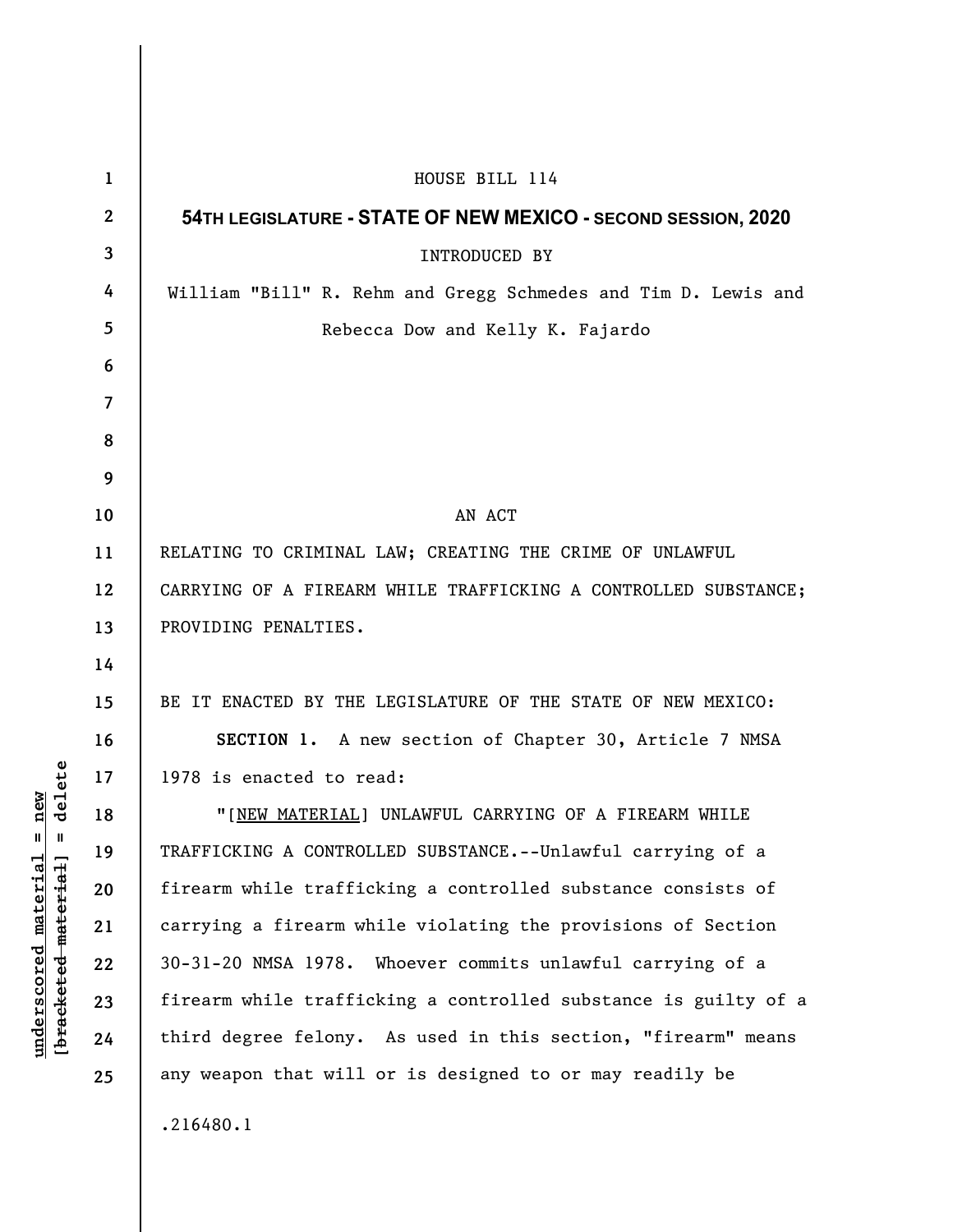| $\mathbf 1$    | HOUSE BILL 114                                                  |
|----------------|-----------------------------------------------------------------|
| $\overline{2}$ | 54TH LEGISLATURE - STATE OF NEW MEXICO - SECOND SESSION, 2020   |
| 3              | <b>INTRODUCED BY</b>                                            |
| 4              | William "Bill" R. Rehm and Gregg Schmedes and Tim D. Lewis and  |
| 5              | Rebecca Dow and Kelly K. Fajardo                                |
| 6              |                                                                 |
| 7              |                                                                 |
| 8              |                                                                 |
| 9              |                                                                 |
| 10             | AN ACT                                                          |
| 11             | RELATING TO CRIMINAL LAW; CREATING THE CRIME OF UNLAWFUL        |
| 12             | CARRYING OF A FIREARM WHILE TRAFFICKING A CONTROLLED SUBSTANCE; |
| 13             | PROVIDING PENALTIES.                                            |
| 14             |                                                                 |
| 15             | BE IT ENACTED BY THE LEGISLATURE OF THE STATE OF NEW MEXICO:    |
| 16             | SECTION 1. A new section of Chapter 30, Article 7 NMSA          |
| 17             | 1978 is enacted to read:                                        |
| 18             | "[NEW MATERIAL] UNLAWFUL CARRYING OF A FIREARM WHILE            |
| 19             | TRAFFICKING A CONTROLLED SUBSTANCE.--Unlawful carrying of a     |
| 20             | firearm while trafficking a controlled substance consists of    |
| 21             | carrying a firearm while violating the provisions of Section    |
| 22             | 30-31-20 NMSA 1978. Whoever commits unlawful carrying of a      |
| 23             | firearm while trafficking a controlled substance is guilty of a |
| 24             | third degree felony. As used in this section, "firearm" means   |
| 25             | any weapon that will or is designed to or may readily be        |
|                | .216480.1                                                       |

 $[**bracket** etc.**eted** meter $at$ ]. = delete$ **[bracketed material] = delete**  $underscored material = new$ **underscored material = new**

 $\overline{\phantom{a}}$